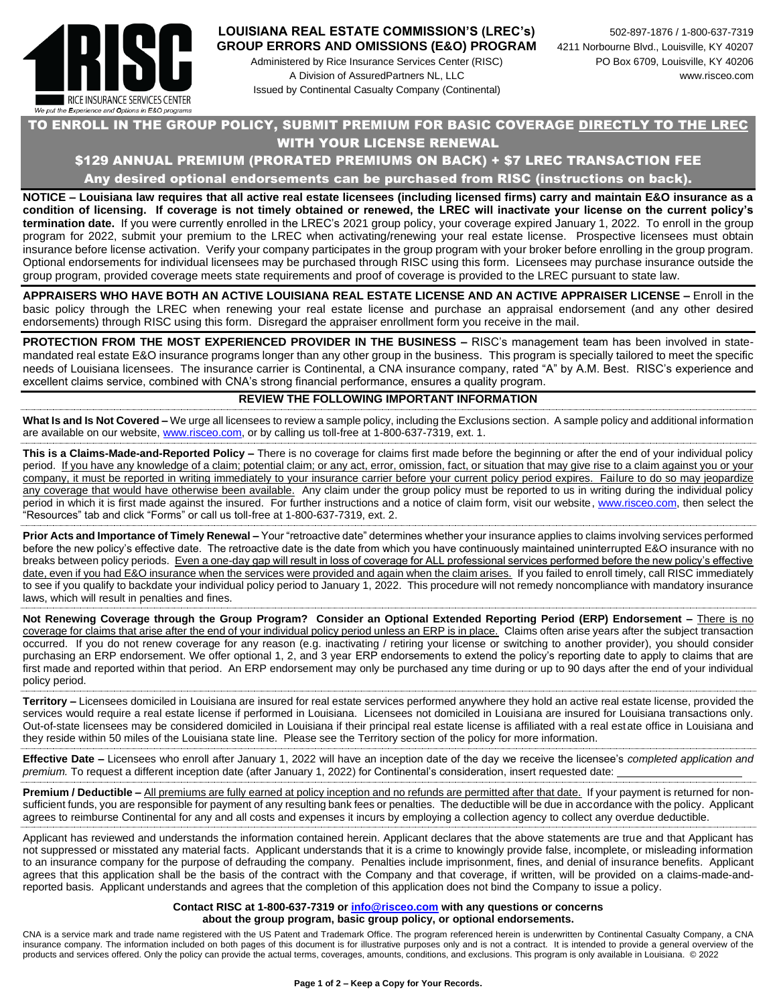

#### **LOUISIANA REAL ESTATE COMMISSION'S (LREC's)** 502-897-1876 / 1-800-637-7319 **GROUP ERRORS AND OMISSIONS (E&O) PROGRAM** 4211 Norbourne Blvd., Louisville, KY 40207

Administered by Rice Insurance Services Center (RISC) PO Box 6709, Louisville, KY 40206 A Division of AssuredPartners NL, LLC www.risceo.com Issued by Continental Casualty Company (Continental)

# TO ENROLL IN THE GROUP POLICY, SUBMIT PREMIUM FOR BASIC COVERAGE DIRECTLY TO THE LREC WITH YOUR LICENSE RENEWAL

# \$129 ANNUAL PREMIUM (PRORATED PREMIUMS ON BACK) + \$7 LREC TRANSACTION FEE

Any desired optional endorsements can be purchased from RISC (instructions on back).

**NOTICE – Louisiana law requires that all active real estate licensees (including licensed firms) carry and maintain E&O insurance as a condition of licensing. If coverage is not timely obtained or renewed, the LREC will inactivate your license on the current policy's termination date.** If you were currently enrolled in the LREC's 2021 group policy, your coverage expired January 1, 2022. To enroll in the group program for 2022, submit your premium to the LREC when activating/renewing your real estate license. Prospective licensees must obtain insurance before license activation. Verify your company participates in the group program with your broker before enrolling in the group program. Optional endorsements for individual licensees may be purchased through RISC using this form. Licensees may purchase insurance outside the group program, provided coverage meets state requirements and proof of coverage is provided to the LREC pursuant to state law.

**APPRAISERS WHO HAVE BOTH AN ACTIVE LOUISIANA REAL ESTATE LICENSE AND AN ACTIVE APPRAISER LICENSE –** Enroll in the basic policy through the LREC when renewing your real estate license and purchase an appraisal endorsement (and any other desired endorsements) through RISC using this form. Disregard the appraiser enrollment form you receive in the mail.

**PROTECTION FROM THE MOST EXPERIENCED PROVIDER IN THE BUSINESS –** RISC's management team has been involved in statemandated real estate E&O insurance programs longer than any other group in the business. This program is specially tailored to meet the specific needs of Louisiana licensees. The insurance carrier is Continental, a CNA insurance company, rated "A" by A.M. Best. RISC's experience and excellent claims service, combined with CNA's strong financial performance, ensures a quality program.

### **REVIEW THE FOLLOWING IMPORTANT INFORMATION**

**What Is and Is Not Covered –** We urge all licensees to review a sample policy, including the Exclusions section. A sample policy and additional information are available on our website[, www.risceo.com,](http://www.risceo.com/) or by calling us toll-free at 1-800-637-7319, ext. 1.

**This is a Claims-Made-and-Reported Policy –** There is no coverage for claims first made before the beginning or after the end of your individual policy period. If you have any knowledge of a claim; potential claim; or any act, error, omission, fact, or situation that may give rise to a claim against you or your company, it must be reported in writing immediately to your insurance carrier before your current policy period expires. Failure to do so may jeopardize any coverage that would have otherwise been available. Any claim under the group policy must be reported to us in writing during the individual policy period in which it is first made against the insured. For further instructions and a notice of claim form, visit our website, [www.risceo.com,](http://www.risceo.com/notice-of-claim-form) then select the "Resources" tab and click "Forms" or call us toll-free at 1-800-637-7319, ext. 2.

**Prior Acts and Importance of Timely Renewal –** Your "retroactive date" determines whether your insurance applies to claims involving services performed before the new policy's effective date. The retroactive date is the date from which you have continuously maintained uninterrupted E&O insurance with no breaks between policy periods. Even a one-day gap will result in loss of coverage for ALL professional services performed before the new policy's effective date, even if you had E&O insurance when the services were provided and again when the claim arises. If you failed to enroll timely, call RISC immediately to see if you qualify to backdate your individual policy period to January 1, 2022. This procedure will not remedy noncompliance with mandatory insurance laws, which will result in penalties and fines.

**Not Renewing Coverage through the Group Program? Consider an Optional Extended Reporting Period (ERP) Endorsement –** There is no coverage for claims that arise after the end of your individual policy period unless an ERP is in place. Claims often arise years after the subject transaction occurred. If you do not renew coverage for any reason (e.g. inactivating / retiring your license or switching to another provider), you should consider purchasing an ERP endorsement. We offer optional 1, 2, and 3 year ERP endorsements to extend the policy's reporting date to apply to claims that are first made and reported within that period. An ERP endorsement may only be purchased any time during or up to 90 days after the end of your individual policy period.

**Territory –** Licensees domiciled in Louisiana are insured for real estate services performed anywhere they hold an active real estate license, provided the services would require a real estate license if performed in Louisiana. Licensees not domiciled in Louisiana are insured for Louisiana transactions only. Out-of-state licensees may be considered domiciled in Louisiana if their principal real estate license is affiliated with a real estate office in Louisiana and they reside within 50 miles of the Louisiana state line. Please see the Territory section of the policy for more information.

**Effective Date –** Licensees who enroll after January 1, 2022 will have an inception date of the day we receive the licensee's *completed application and premium.* To request a different inception date (after January 1, 2022) for Continental's consideration, insert requested date:

**Premium / Deductible** – All premiums are fully earned at policy inception and no refunds are permitted after that date. If your payment is returned for nonsufficient funds, you are responsible for payment of any resulting bank fees or penalties. The deductible will be due in accordance with the policy. Applicant agrees to reimburse Continental for any and all costs and expenses it incurs by employing a collection agency to collect any overdue deductible.

Applicant has reviewed and understands the information contained herein. Applicant declares that the above statements are true and that Applicant has not suppressed or misstated any material facts. Applicant understands that it is a crime to knowingly provide false, incomplete, or misleading information to an insurance company for the purpose of defrauding the company. Penalties include imprisonment, fines, and denial of insurance benefits. Applicant agrees that this application shall be the basis of the contract with the Company and that coverage, if written, will be provided on a claims-made-andreported basis. Applicant understands and agrees that the completion of this application does not bind the Company to issue a policy.

#### **Contact RISC at 1-800-637-7319 or [info@risceo.com](mailto:info@risceo.com) with any questions or concerns about the group program, basic group policy, or optional endorsements.**

CNA is a service mark and trade name registered with the US Patent and Trademark Office. The program referenced herein is underwritten by Continental Casualty Company, a CNA insurance company. The information included on both pages of this document is for illustrative purposes only and is not a contract. It is intended to provide a general overview of the products and services offered. Only the policy can provide the actual terms, coverages, amounts, conditions, and exclusions. This program is only available in Louisiana. © 2022